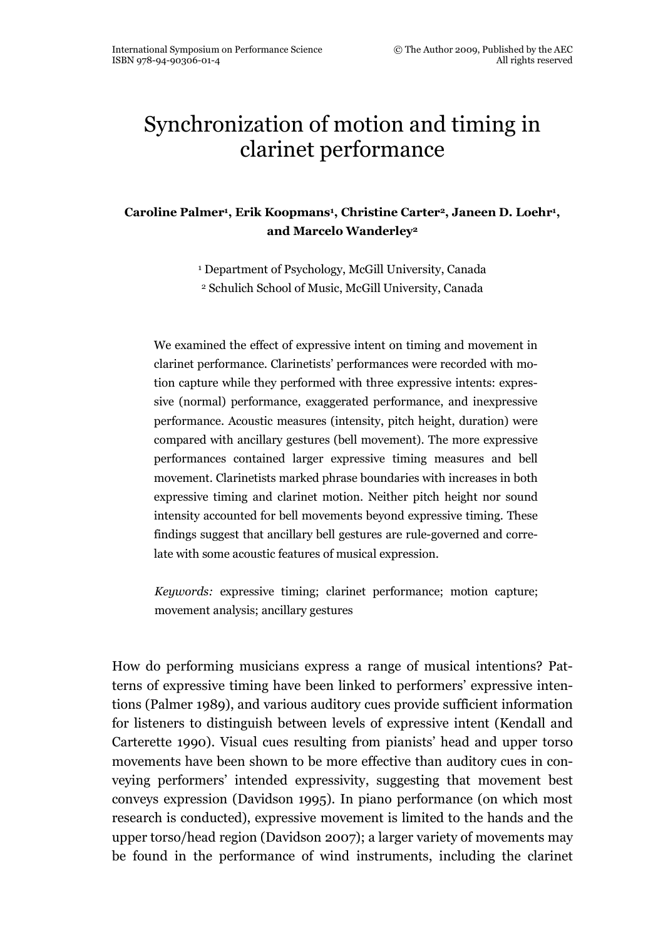# Synchronization of motion and timing in clarinet performance

Caroline Palmer<sup>1</sup> , Erik Koopmans<sup>1</sup> , Christine Carter<sup>2</sup>, Janeen D. Loehr<sup>1</sup> , and Marcelo Wanderley<sup>2</sup>

> 1 Department of Psychology, McGill University, Canada <sup>2</sup> Schulich School of Music, McGill University, Canada

We examined the effect of expressive intent on timing and movement in clarinet performance. Clarinetists' performances were recorded with motion capture while they performed with three expressive intents: expressive (normal) performance, exaggerated performance, and inexpressive performance. Acoustic measures (intensity, pitch height, duration) were compared with ancillary gestures (bell movement). The more expressive performances contained larger expressive timing measures and bell movement. Clarinetists marked phrase boundaries with increases in both expressive timing and clarinet motion. Neither pitch height nor sound intensity accounted for bell movements beyond expressive timing. These findings suggest that ancillary bell gestures are rule-governed and correlate with some acoustic features of musical expression.

Keywords: expressive timing; clarinet performance; motion capture; movement analysis; ancillary gestures

How do performing musicians express a range of musical intentions? Patterns of expressive timing have been linked to performers' expressive intentions (Palmer 1989), and various auditory cues provide sufficient information for listeners to distinguish between levels of expressive intent (Kendall and Carterette 1990). Visual cues resulting from pianists' head and upper torso movements have been shown to be more effective than auditory cues in conveying performers' intended expressivity, suggesting that movement best conveys expression (Davidson 1995). In piano performance (on which most research is conducted), expressive movement is limited to the hands and the upper torso/head region (Davidson 2007); a larger variety of movements may be found in the performance of wind instruments, including the clarinet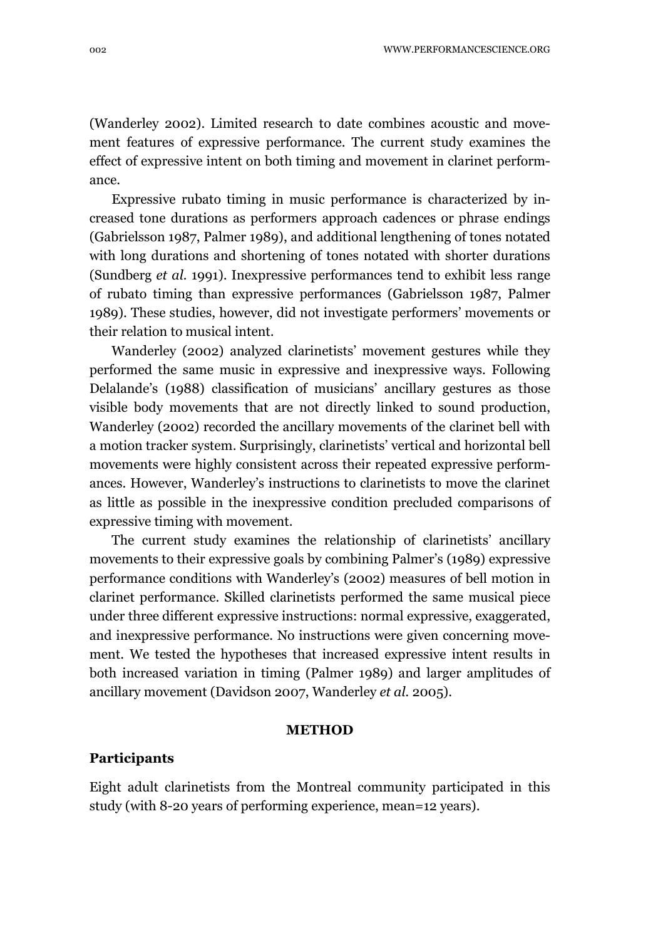(Wanderley 2002). Limited research to date combines acoustic and movement features of expressive performance. The current study examines the effect of expressive intent on both timing and movement in clarinet performance.

Expressive rubato timing in music performance is characterized by increased tone durations as performers approach cadences or phrase endings (Gabrielsson 1987, Palmer 1989), and additional lengthening of tones notated with long durations and shortening of tones notated with shorter durations (Sundberg et al. 1991). Inexpressive performances tend to exhibit less range of rubato timing than expressive performances (Gabrielsson 1987, Palmer 1989). These studies, however, did not investigate performers' movements or their relation to musical intent.

Wanderley (2002) analyzed clarinetists' movement gestures while they performed the same music in expressive and inexpressive ways. Following Delalande's (1988) classification of musicians' ancillary gestures as those visible body movements that are not directly linked to sound production, Wanderley (2002) recorded the ancillary movements of the clarinet bell with a motion tracker system. Surprisingly, clarinetists' vertical and horizontal bell movements were highly consistent across their repeated expressive performances. However, Wanderley's instructions to clarinetists to move the clarinet as little as possible in the inexpressive condition precluded comparisons of expressive timing with movement.

The current study examines the relationship of clarinetists' ancillary movements to their expressive goals by combining Palmer's (1989) expressive performance conditions with Wanderley's (2002) measures of bell motion in clarinet performance. Skilled clarinetists performed the same musical piece under three different expressive instructions: normal expressive, exaggerated, and inexpressive performance. No instructions were given concerning movement. We tested the hypotheses that increased expressive intent results in both increased variation in timing (Palmer 1989) and larger amplitudes of ancillary movement (Davidson 2007, Wanderley et al. 2005).

#### METHOD

#### Participants

Eight adult clarinetists from the Montreal community participated in this study (with 8-20 years of performing experience, mean=12 years).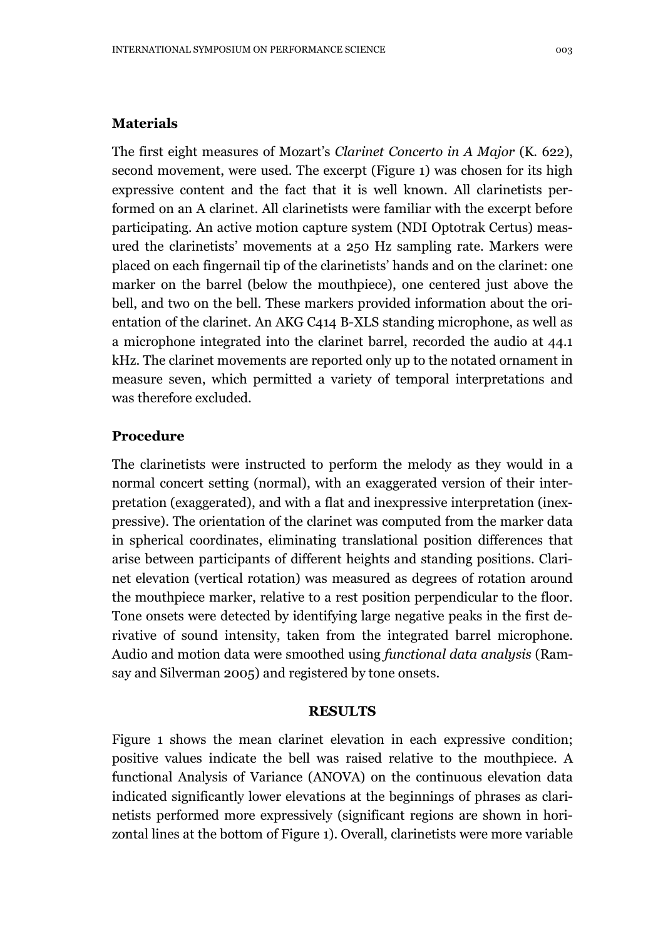### **Materials**

The first eight measures of Mozart's Clarinet Concerto in A Major (K. 622), second movement, were used. The excerpt (Figure 1) was chosen for its high expressive content and the fact that it is well known. All clarinetists performed on an A clarinet. All clarinetists were familiar with the excerpt before participating. An active motion capture system (NDI Optotrak Certus) measured the clarinetists' movements at a 250 Hz sampling rate. Markers were placed on each fingernail tip of the clarinetists' hands and on the clarinet: one marker on the barrel (below the mouthpiece), one centered just above the bell, and two on the bell. These markers provided information about the orientation of the clarinet. An AKG C414 B-XLS standing microphone, as well as a microphone integrated into the clarinet barrel, recorded the audio at 44.1 kHz. The clarinet movements are reported only up to the notated ornament in measure seven, which permitted a variety of temporal interpretations and was therefore excluded.

## Procedure

The clarinetists were instructed to perform the melody as they would in a normal concert setting (normal), with an exaggerated version of their interpretation (exaggerated), and with a flat and inexpressive interpretation (inexpressive). The orientation of the clarinet was computed from the marker data in spherical coordinates, eliminating translational position differences that arise between participants of different heights and standing positions. Clarinet elevation (vertical rotation) was measured as degrees of rotation around the mouthpiece marker, relative to a rest position perpendicular to the floor. Tone onsets were detected by identifying large negative peaks in the first derivative of sound intensity, taken from the integrated barrel microphone. Audio and motion data were smoothed using functional data analysis (Ramsay and Silverman 2005) and registered by tone onsets.

### RESULTS

Figure 1 shows the mean clarinet elevation in each expressive condition; positive values indicate the bell was raised relative to the mouthpiece. A functional Analysis of Variance (ANOVA) on the continuous elevation data indicated significantly lower elevations at the beginnings of phrases as clarinetists performed more expressively (significant regions are shown in horizontal lines at the bottom of Figure 1). Overall, clarinetists were more variable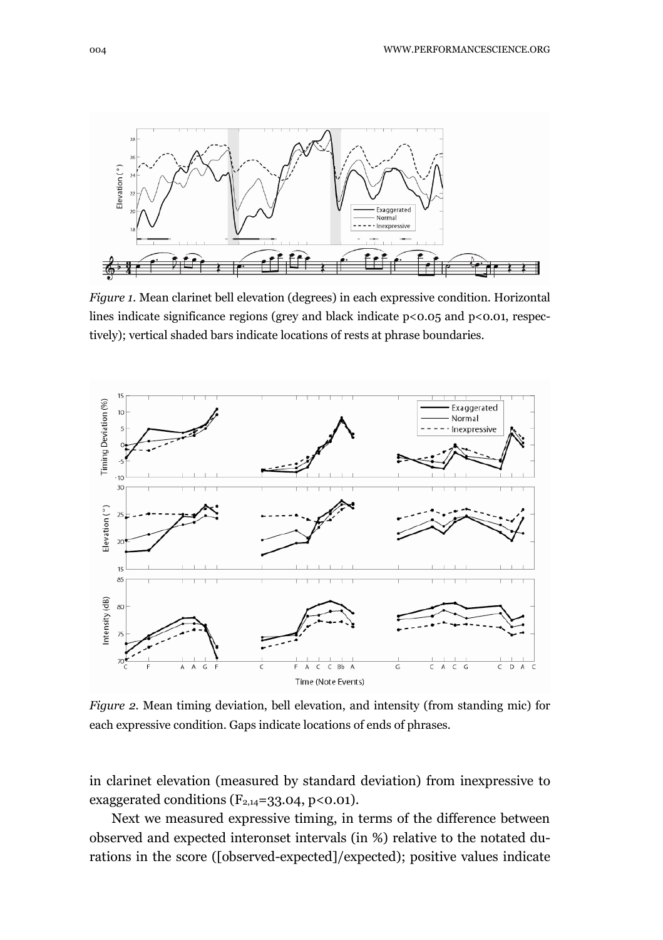

Figure 1. Mean clarinet bell elevation (degrees) in each expressive condition. Horizontal lines indicate significance regions (grey and black indicate p<0.05 and p<0.01, respectively); vertical shaded bars indicate locations of rests at phrase boundaries.



Figure 2. Mean timing deviation, bell elevation, and intensity (from standing mic) for each expressive condition. Gaps indicate locations of ends of phrases.

in clarinet elevation (measured by standard deviation) from inexpressive to exaggerated conditions  $(F_{2,14}=33.04, p<0.01)$ .

Next we measured expressive timing, in terms of the difference between observed and expected interonset intervals (in %) relative to the notated durations in the score ([observed-expected]/expected); positive values indicate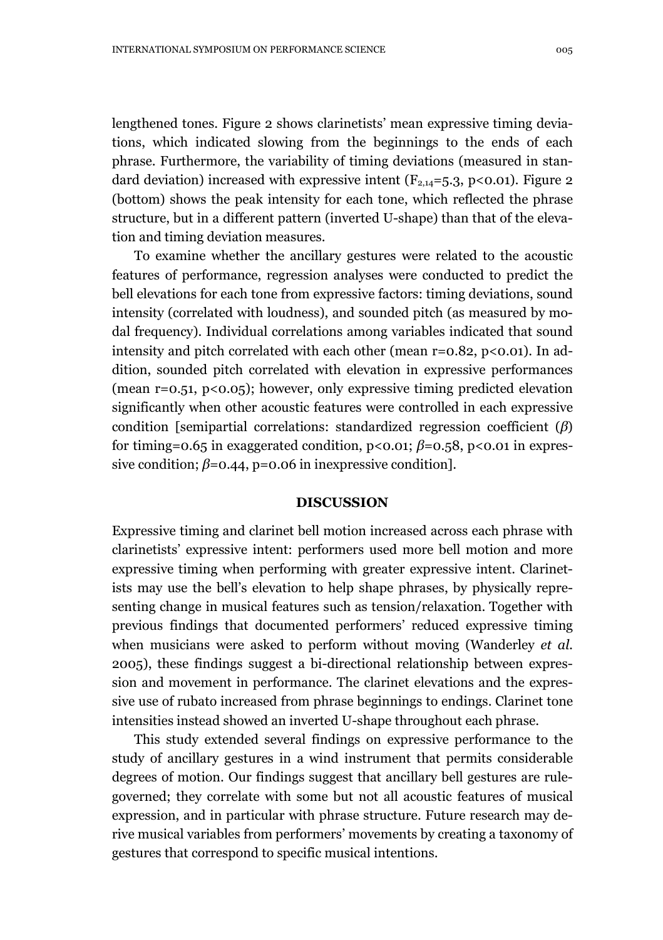lengthened tones. Figure 2 shows clarinetists' mean expressive timing deviations, which indicated slowing from the beginnings to the ends of each phrase. Furthermore, the variability of timing deviations (measured in standard deviation) increased with expressive intent ( $F_{2,14}$ =5.3, p<0.01). Figure 2 (bottom) shows the peak intensity for each tone, which reflected the phrase structure, but in a different pattern (inverted U-shape) than that of the elevation and timing deviation measures.

To examine whether the ancillary gestures were related to the acoustic features of performance, regression analyses were conducted to predict the bell elevations for each tone from expressive factors: timing deviations, sound intensity (correlated with loudness), and sounded pitch (as measured by modal frequency). Individual correlations among variables indicated that sound intensity and pitch correlated with each other (mean  $r=0.82$ ,  $p<0.01$ ). In addition, sounded pitch correlated with elevation in expressive performances (mean r=0.51, p<0.05); however, only expressive timing predicted elevation significantly when other acoustic features were controlled in each expressive condition [semipartial correlations: standardized regression coefficient  $(\beta)$ ] for timing=0.65 in exaggerated condition,  $p < 0.01$ ;  $\beta = 0.58$ ,  $p < 0.01$  in expressive condition;  $\beta$ =0.44, p=0.06 in inexpressive condition].

#### **DISCUSSION**

Expressive timing and clarinet bell motion increased across each phrase with clarinetists' expressive intent: performers used more bell motion and more expressive timing when performing with greater expressive intent. Clarinetists may use the bell's elevation to help shape phrases, by physically representing change in musical features such as tension/relaxation. Together with previous findings that documented performers' reduced expressive timing when musicians were asked to perform without moving (Wanderley *et al.*) 2005), these findings suggest a bi-directional relationship between expression and movement in performance. The clarinet elevations and the expressive use of rubato increased from phrase beginnings to endings. Clarinet tone intensities instead showed an inverted U-shape throughout each phrase.

This study extended several findings on expressive performance to the study of ancillary gestures in a wind instrument that permits considerable degrees of motion. Our findings suggest that ancillary bell gestures are rulegoverned; they correlate with some but not all acoustic features of musical expression, and in particular with phrase structure. Future research may derive musical variables from performers' movements by creating a taxonomy of gestures that correspond to specific musical intentions.